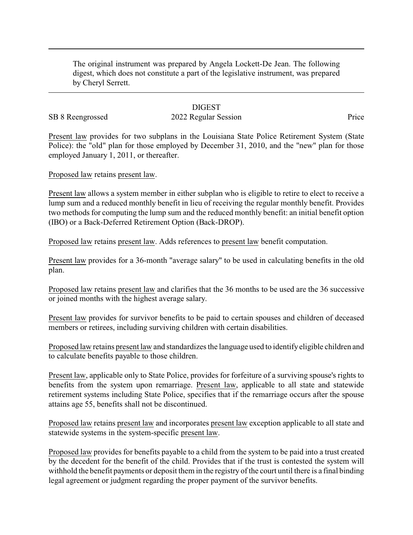The original instrument was prepared by Angela Lockett-De Jean. The following digest, which does not constitute a part of the legislative instrument, was prepared by Cheryl Serrett.

#### **DIGEST**

# SB 8 Reengrossed 2022 Regular Session Price

Present law provides for two subplans in the Louisiana State Police Retirement System (State Police): the "old" plan for those employed by December 31, 2010, and the "new" plan for those employed January 1, 2011, or thereafter.

Proposed law retains present law.

Present law allows a system member in either subplan who is eligible to retire to elect to receive a lump sum and a reduced monthly benefit in lieu of receiving the regular monthly benefit. Provides two methods for computing the lump sum and the reduced monthly benefit: an initial benefit option (IBO) or a Back-Deferred Retirement Option (Back-DROP).

Proposed law retains present law. Adds references to present law benefit computation.

Present law provides for a 36-month "average salary" to be used in calculating benefits in the old plan.

Proposed law retains present law and clarifies that the 36 months to be used are the 36 successive or joined months with the highest average salary.

Present law provides for survivor benefits to be paid to certain spouses and children of deceased members or retirees, including surviving children with certain disabilities.

Proposed law retains present law and standardizes the language used to identify eligible children and to calculate benefits payable to those children.

Present law, applicable only to State Police, provides for forfeiture of a surviving spouse's rights to benefits from the system upon remarriage. Present law, applicable to all state and statewide retirement systems including State Police, specifies that if the remarriage occurs after the spouse attains age 55, benefits shall not be discontinued.

Proposed law retains present law and incorporates present law exception applicable to all state and statewide systems in the system-specific present law.

Proposed law provides for benefits payable to a child from the system to be paid into a trust created by the decedent for the benefit of the child. Provides that if the trust is contested the system will withhold the benefit payments or deposit them in the registry of the court until there is a final binding legal agreement or judgment regarding the proper payment of the survivor benefits.